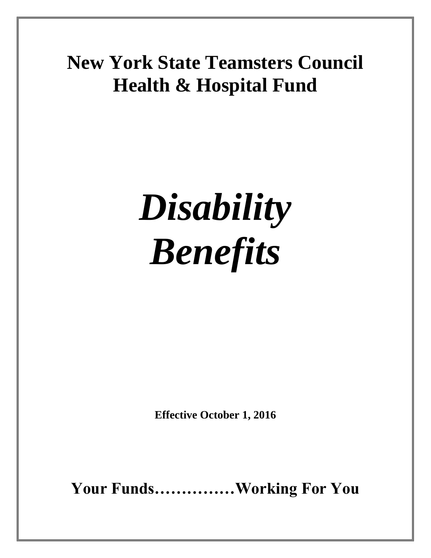# **New York State Teamsters Council Health & Hospital Fund**

# *Disability Benefits*

**Effective October 1, 2016**

**Your Funds……………Working For You**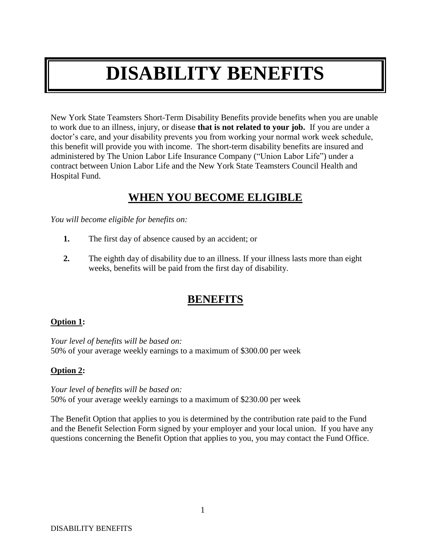# **DISABILITY BENEFITS**

New York State Teamsters Short-Term Disability Benefits provide benefits when you are unable to work due to an illness, injury, or disease **that is not related to your job.** If you are under a doctor's care, and your disability prevents you from working your normal work week schedule, this benefit will provide you with income. The short-term disability benefits are insured and administered by The Union Labor Life Insurance Company ("Union Labor Life") under a contract between Union Labor Life and the New York State Teamsters Council Health and Hospital Fund.

## **WHEN YOU BECOME ELIGIBLE**

*You will become eligible for benefits on:*

- **1.** The first day of absence caused by an accident; or
- **2.** The eighth day of disability due to an illness. If your illness lasts more than eight weeks, benefits will be paid from the first day of disability.

# **BENEFITS**

#### **Option 1:**

*Your level of benefits will be based on:* 50% of your average weekly earnings to a maximum of \$300.00 per week

#### **Option 2:**

*Your level of benefits will be based on:* 50% of your average weekly earnings to a maximum of \$230.00 per week

The Benefit Option that applies to you is determined by the contribution rate paid to the Fund and the Benefit Selection Form signed by your employer and your local union. If you have any questions concerning the Benefit Option that applies to you, you may contact the Fund Office.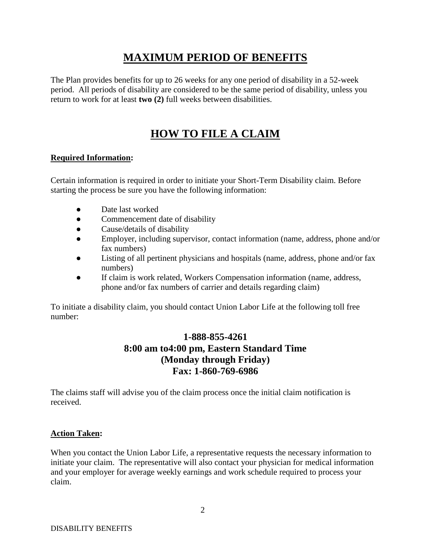# **MAXIMUM PERIOD OF BENEFITS**

The Plan provides benefits for up to 26 weeks for any one period of disability in a 52-week period. All periods of disability are considered to be the same period of disability, unless you return to work for at least **two (2)** full weeks between disabilities.

# **HOW TO FILE A CLAIM**

#### **Required Information:**

Certain information is required in order to initiate your Short-Term Disability claim. Before starting the process be sure you have the following information:

- Date last worked
- Commencement date of disability
- Cause/details of disability
- Employer, including supervisor, contact information (name, address, phone and/or fax numbers)
- Listing of all pertinent physicians and hospitals (name, address, phone and/or fax numbers)
- If claim is work related, Workers Compensation information (name, address, phone and/or fax numbers of carrier and details regarding claim)

To initiate a disability claim, you should contact Union Labor Life at the following toll free number:

#### **1-888-855-4261 8:00 am to4:00 pm, Eastern Standard Time (Monday through Friday) Fax: 1-860-769-6986**

The claims staff will advise you of the claim process once the initial claim notification is received.

#### **Action Taken:**

When you contact the Union Labor Life, a representative requests the necessary information to initiate your claim. The representative will also contact your physician for medical information and your employer for average weekly earnings and work schedule required to process your claim.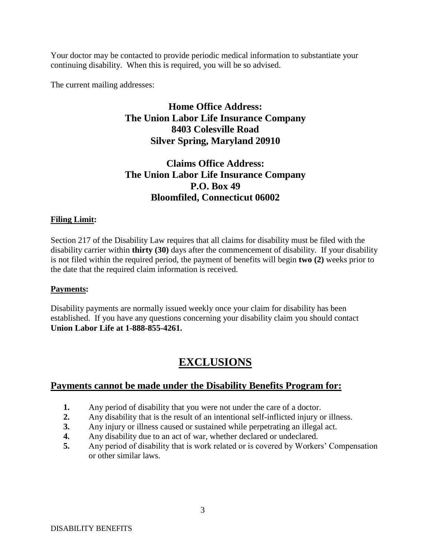Your doctor may be contacted to provide periodic medical information to substantiate your continuing disability. When this is required, you will be so advised.

The current mailing addresses:

#### **Home Office Address: The Union Labor Life Insurance Company 8403 Colesville Road Silver Spring, Maryland 20910**

#### **Claims Office Address: The Union Labor Life Insurance Company P.O. Box 49 Bloomfiled, Connecticut 06002**

#### **Filing Limit:**

Section 217 of the Disability Law requires that all claims for disability must be filed with the disability carrier within **thirty (30)** days after the commencement of disability. If your disability is not filed within the required period, the payment of benefits will begin **two (2)** weeks prior to the date that the required claim information is received.

#### **Payments:**

Disability payments are normally issued weekly once your claim for disability has been established. If you have any questions concerning your disability claim you should contact **Union Labor Life at 1-888-855-4261.**

## **EXCLUSIONS**

#### **Payments cannot be made under the Disability Benefits Program for:**

- **1.** Any period of disability that you were not under the care of a doctor.
- **2.** Any disability that is the result of an intentional self-inflicted injury or illness.
- **3.** Any injury or illness caused or sustained while perpetrating an illegal act.
- **4.** Any disability due to an act of war, whether declared or undeclared.
- **5.** Any period of disability that is work related or is covered by Workers' Compensation or other similar laws.